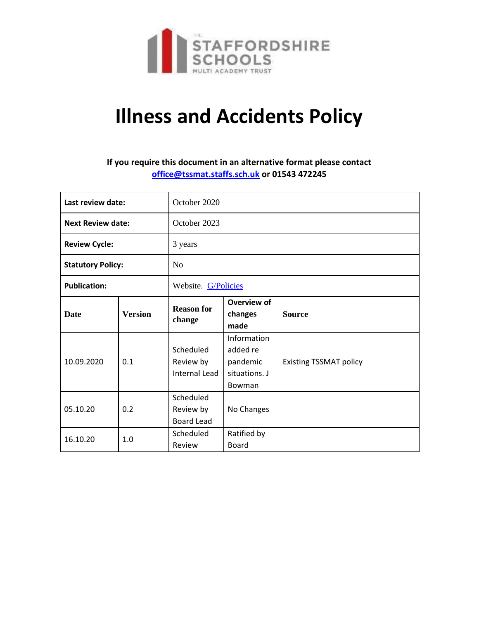

# **Illness and Accidents Policy**

## **If you require this document in an alternative format please contact [office@tssmat.staffs.sch.uk](mailto:office@tssmat.staffs.sch.uk) or 01543 472245**

| Last review date:        |                | October 2020                                |                                                                |                               |
|--------------------------|----------------|---------------------------------------------|----------------------------------------------------------------|-------------------------------|
| <b>Next Review date:</b> |                | October 2023                                |                                                                |                               |
| <b>Review Cycle:</b>     |                | 3 years                                     |                                                                |                               |
| <b>Statutory Policy:</b> |                | N <sub>o</sub>                              |                                                                |                               |
| <b>Publication:</b>      |                | Website. G/Policies                         |                                                                |                               |
| <b>Date</b>              | <b>Version</b> | <b>Reason for</b><br>change                 | Overview of<br>changes<br>made                                 | <b>Source</b>                 |
| 10.09.2020               | 0.1            | Scheduled<br>Review by<br>Internal Lead     | Information<br>added re<br>pandemic<br>situations. J<br>Bowman | <b>Existing TSSMAT policy</b> |
| 05.10.20                 | 0.2            | Scheduled<br>Review by<br><b>Board Lead</b> | No Changes                                                     |                               |
| 16.10.20                 | 1.0            | Scheduled<br>Review                         | Ratified by<br>Board                                           |                               |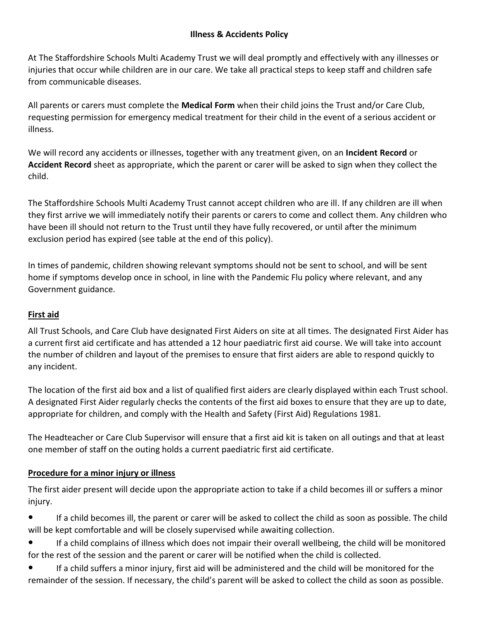## **Illness & Accidents Policy**

At The Staffordshire Schools Multi Academy Trust we will deal promptly and effectively with any illnesses or injuries that occur while children are in our care. We take all practical steps to keep staff and children safe from communicable diseases.

All parents or carers must complete the **Medical Form** when their child joins the Trust and/or Care Club, requesting permission for emergency medical treatment for their child in the event of a serious accident or illness.

We will record any accidents or illnesses, together with any treatment given, on an **Incident Record** or **Accident Record** sheet as appropriate, which the parent or carer will be asked to sign when they collect the child.

The Staffordshire Schools Multi Academy Trust cannot accept children who are ill. If any children are ill when they first arrive we will immediately notify their parents or carers to come and collect them. Any children who have been ill should not return to the Trust until they have fully recovered, or until after the minimum exclusion period has expired (see table at the end of this policy).

In times of pandemic, children showing relevant symptoms should not be sent to school, and will be sent home if symptoms develop once in school, in line with the Pandemic Flu policy where relevant, and any Government guidance.

## **First aid**

All Trust Schools, and Care Club have designated First Aiders on site at all times. The designated First Aider has a current first aid certificate and has attended a 12 hour paediatric first aid course. We will take into account the number of children and layout of the premises to ensure that first aiders are able to respond quickly to any incident.

The location of the first aid box and a list of qualified first aiders are clearly displayed within each Trust school. A designated First Aider regularly checks the contents of the first aid boxes to ensure that they are up to date, appropriate for children, and comply with the Health and Safety (First Aid) Regulations 1981.

The Headteacher or Care Club Supervisor will ensure that a first aid kit is taken on all outings and that at least one member of staff on the outing holds a current paediatric first aid certificate.

## **Procedure for a minor injury or illness**

The first aider present will decide upon the appropriate action to take if a child becomes ill or suffers a minor injury.

- If a child becomes ill, the parent or carer will be asked to collect the child as soon as possible. The child will be kept comfortable and will be closely supervised while awaiting collection.
- If a child complains of illness which does not impair their overall wellbeing, the child will be monitored for the rest of the session and the parent or carer will be notified when the child is collected.
- If a child suffers a minor injury, first aid will be administered and the child will be monitored for the remainder of the session. If necessary, the child's parent will be asked to collect the child as soon as possible.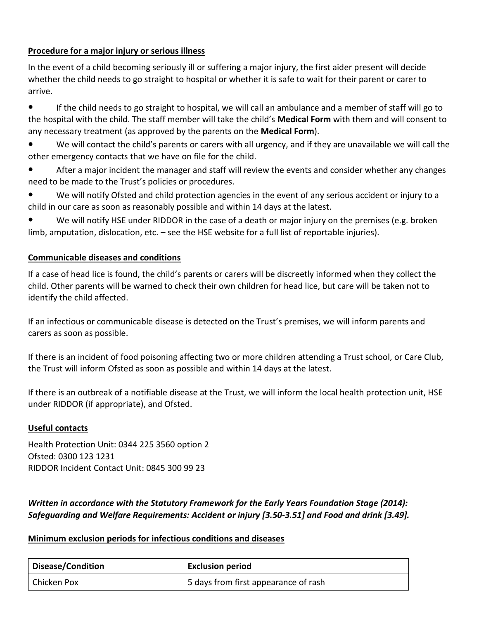## **Procedure for a major injury or serious illness**

In the event of a child becoming seriously ill or suffering a major injury, the first aider present will decide whether the child needs to go straight to hospital or whether it is safe to wait for their parent or carer to arrive.

● If the child needs to go straight to hospital, we will call an ambulance and a member of staff will go to the hospital with the child. The staff member will take the child's **Medical Form** with them and will consent to any necessary treatment (as approved by the parents on the **Medical Form**).

- We will contact the child's parents or carers with all urgency, and if they are unavailable we will call the other emergency contacts that we have on file for the child.
- After a major incident the manager and staff will review the events and consider whether any changes need to be made to the Trust's policies or procedures.
- We will notify Ofsted and child protection agencies in the event of any serious accident or injury to a child in our care as soon as reasonably possible and within 14 days at the latest.

● We will notify HSE under RIDDOR in the case of a death or major injury on the premises (e.g. broken limb, amputation, dislocation, etc. – see the HSE website for a full list of reportable injuries).

## **Communicable diseases and conditions**

If a case of head lice is found, the child's parents or carers will be discreetly informed when they collect the child. Other parents will be warned to check their own children for head lice, but care will be taken not to identify the child affected.

If an infectious or communicable disease is detected on the Trust's premises, we will inform parents and carers as soon as possible.

If there is an incident of food poisoning affecting two or more children attending a Trust school, or Care Club, the Trust will inform Ofsted as soon as possible and within 14 days at the latest.

If there is an outbreak of a notifiable disease at the Trust, we will inform the local health protection unit, HSE under RIDDOR (if appropriate), and Ofsted.

## **Useful contacts**

Health Protection Unit: 0344 225 3560 option 2 Ofsted: 0300 123 1231 RIDDOR Incident Contact Unit: 0845 300 99 23

## *Written in accordance with the Statutory Framework for the Early Years Foundation Stage (2014): Safeguarding and Welfare Requirements: Accident or injury [3.50-3.51] and Food and drink [3.49].*

## **Minimum exclusion periods for infectious conditions and diseases**

| Disease/Condition | <b>Exclusion period</b>              |
|-------------------|--------------------------------------|
| Chicken Pox       | 5 days from first appearance of rash |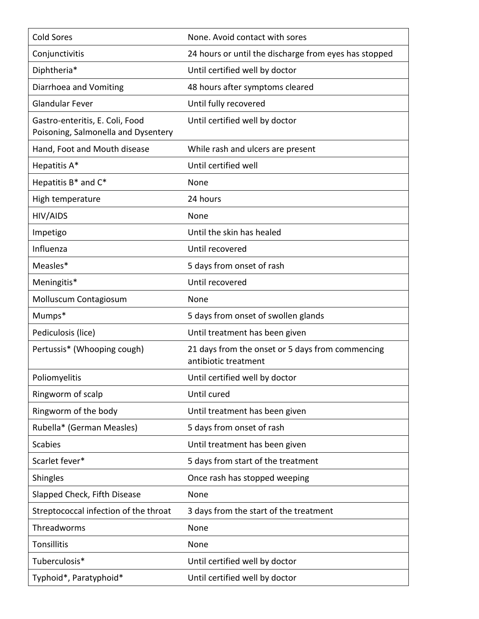| <b>Cold Sores</b>                                                      | None. Avoid contact with sores                                           |
|------------------------------------------------------------------------|--------------------------------------------------------------------------|
| Conjunctivitis                                                         | 24 hours or until the discharge from eyes has stopped                    |
| Diphtheria*                                                            | Until certified well by doctor                                           |
| Diarrhoea and Vomiting                                                 | 48 hours after symptoms cleared                                          |
| <b>Glandular Fever</b>                                                 | Until fully recovered                                                    |
| Gastro-enteritis, E. Coli, Food<br>Poisoning, Salmonella and Dysentery | Until certified well by doctor                                           |
| Hand, Foot and Mouth disease                                           | While rash and ulcers are present                                        |
| Hepatitis A*                                                           | Until certified well                                                     |
| Hepatitis B* and C*                                                    | None                                                                     |
| High temperature                                                       | 24 hours                                                                 |
| HIV/AIDS                                                               | None                                                                     |
| Impetigo                                                               | Until the skin has healed                                                |
| Influenza                                                              | Until recovered                                                          |
| Measles*                                                               | 5 days from onset of rash                                                |
| Meningitis*                                                            | Until recovered                                                          |
| Molluscum Contagiosum                                                  | None                                                                     |
|                                                                        |                                                                          |
| Mumps*                                                                 | 5 days from onset of swollen glands                                      |
| Pediculosis (lice)                                                     | Until treatment has been given                                           |
| Pertussis* (Whooping cough)                                            | 21 days from the onset or 5 days from commencing<br>antibiotic treatment |
| Poliomyelitis                                                          | Until certified well by doctor                                           |
| Ringworm of scalp                                                      | Until cured                                                              |
| Ringworm of the body                                                   | Until treatment has been given                                           |
| Rubella* (German Measles)                                              | 5 days from onset of rash                                                |
| <b>Scabies</b>                                                         | Until treatment has been given                                           |
| Scarlet fever*                                                         | 5 days from start of the treatment                                       |
| Shingles                                                               | Once rash has stopped weeping                                            |
| Slapped Check, Fifth Disease                                           | None                                                                     |
| Streptococcal infection of the throat                                  | 3 days from the start of the treatment                                   |
| Threadworms                                                            | None                                                                     |
| Tonsillitis                                                            | None                                                                     |
| Tuberculosis*                                                          | Until certified well by doctor                                           |